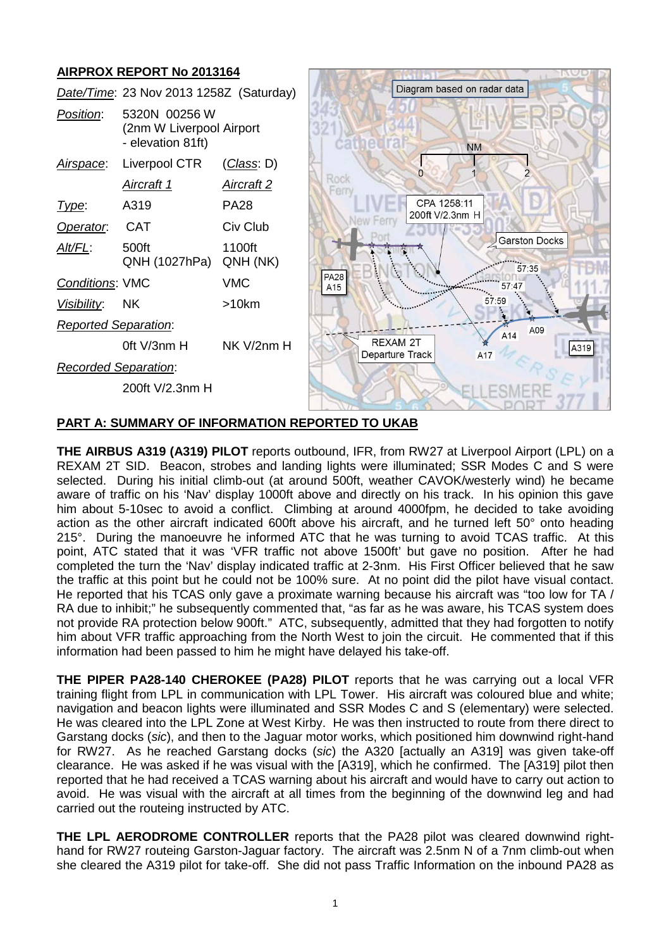# **AIRPROX REPORT No 2013164**

|                             | דיוטו טובע טורו ואט בעווא                                      |                    |                    |                                    |                                |      |
|-----------------------------|----------------------------------------------------------------|--------------------|--------------------|------------------------------------|--------------------------------|------|
|                             | Date/Time: 23 Nov 2013 1258Z (Saturday)                        |                    |                    |                                    | Diagram based on radar data    |      |
| Position:                   | 5320N 00256 W<br>(2nm W Liverpool Airport<br>- elevation 81ft) |                    |                    |                                    | <b>NM</b>                      |      |
| <u>Airspace</u> :           | Liverpool CTR                                                  | <u>(Class</u> : D) |                    |                                    |                                |      |
|                             | Aircraft 1                                                     | <u>Aircraft 2</u>  | Rocl               |                                    |                                |      |
| Type:                       | A319                                                           | <b>PA28</b>        |                    |                                    | CPA 1258:11<br>200ft V/2.3nm H |      |
| Operator.                   | <b>CAT</b>                                                     | Civ Club           |                    |                                    |                                |      |
| <u>Alt/FL:</u>              | 500ft<br>QNH (1027hPa)                                         | 1100ft<br>QNH (NK) |                    |                                    | <b>Garston Docks</b><br>57:35  |      |
| Conditions: VMC             |                                                                | <b>VMC</b>         | <b>PA28</b><br>A15 |                                    | 57 4                           |      |
| Visibility:                 | <b>NK</b>                                                      | >10km              |                    |                                    |                                |      |
| <b>Reported Separation:</b> |                                                                |                    |                    |                                    | A09<br>A14                     |      |
|                             | Oft V/3nm H                                                    | NK V/2nm H         |                    | <b>REXAM 2T</b><br>Departure Track | A17                            | A319 |
| Recorded Separation:        |                                                                |                    |                    |                                    |                                |      |
|                             | 200ft V/2.3nm H                                                |                    |                    |                                    |                                |      |

### **PART A: SUMMARY OF INFORMATION REPORTED TO UKAB**

**THE AIRBUS A319 (A319) PILOT** reports outbound, IFR, from RW27 at Liverpool Airport (LPL) on a REXAM 2T SID. Beacon, strobes and landing lights were illuminated; SSR Modes C and S were selected. During his initial climb-out (at around 500ft, weather CAVOK/westerly wind) he became aware of traffic on his 'Nav' display 1000ft above and directly on his track. In his opinion this gave him about 5-10sec to avoid a conflict. Climbing at around 4000fpm, he decided to take avoiding action as the other aircraft indicated 600ft above his aircraft, and he turned left 50° onto heading 215°. During the manoeuvre he informed ATC that he was turning to avoid TCAS traffic. At this point, ATC stated that it was 'VFR traffic not above 1500ft' but gave no position. After he had completed the turn the 'Nav' display indicated traffic at 2-3nm. His First Officer believed that he saw the traffic at this point but he could not be 100% sure. At no point did the pilot have visual contact. He reported that his TCAS only gave a proximate warning because his aircraft was "too low for TA / RA due to inhibit;" he subsequently commented that, "as far as he was aware, his TCAS system does not provide RA protection below 900ft." ATC, subsequently, admitted that they had forgotten to notify him about VFR traffic approaching from the North West to join the circuit. He commented that if this information had been passed to him he might have delayed his take-off.

**THE PIPER PA28-140 CHEROKEE (PA28) PILOT** reports that he was carrying out a local VFR training flight from LPL in communication with LPL Tower. His aircraft was coloured blue and white; navigation and beacon lights were illuminated and SSR Modes C and S (elementary) were selected. He was cleared into the LPL Zone at West Kirby. He was then instructed to route from there direct to Garstang docks (*sic*), and then to the Jaguar motor works, which positioned him downwind right-hand for RW27. As he reached Garstang docks (*sic*) the A320 [actually an A319] was given take-off clearance. He was asked if he was visual with the [A319], which he confirmed. The [A319] pilot then reported that he had received a TCAS warning about his aircraft and would have to carry out action to avoid. He was visual with the aircraft at all times from the beginning of the downwind leg and had carried out the routeing instructed by ATC.

**THE LPL AERODROME CONTROLLER** reports that the PA28 pilot was cleared downwind righthand for RW27 routeing Garston-Jaguar factory. The aircraft was 2.5nm N of a 7nm climb-out when she cleared the A319 pilot for take-off. She did not pass Traffic Information on the inbound PA28 as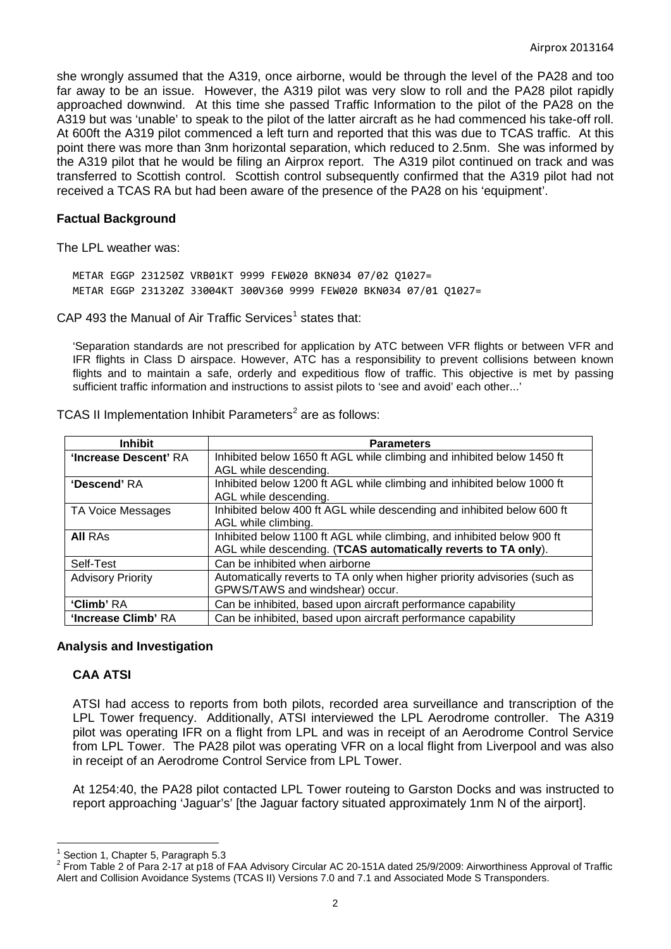she wrongly assumed that the A319, once airborne, would be through the level of the PA28 and too far away to be an issue. However, the A319 pilot was very slow to roll and the PA28 pilot rapidly approached downwind. At this time she passed Traffic Information to the pilot of the PA28 on the A319 but was 'unable' to speak to the pilot of the latter aircraft as he had commenced his take-off roll. At 600ft the A319 pilot commenced a left turn and reported that this was due to TCAS traffic. At this point there was more than 3nm horizontal separation, which reduced to 2.5nm. She was informed by the A319 pilot that he would be filing an Airprox report. The A319 pilot continued on track and was transferred to Scottish control. Scottish control subsequently confirmed that the A319 pilot had not received a TCAS RA but had been aware of the presence of the PA28 on his 'equipment'.

#### **Factual Background**

The LPL weather was:

METAR EGGP 231250Z VRB01KT 9999 FEW020 BKN034 07/02 Q1027= METAR EGGP 231320Z 33004KT 300V360 9999 FEW020 BKN034 07/01 Q1027=

CAP 493 the Manual of Air Traffic Services<sup>[1](#page-1-0)</sup> states that:

'Separation standards are not prescribed for application by ATC between VFR flights or between VFR and IFR flights in Class D airspace. However, ATC has a responsibility to prevent collisions between known flights and to maintain a safe, orderly and expeditious flow of traffic. This objective is met by passing sufficient traffic information and instructions to assist pilots to 'see and avoid' each other...'

| <b>Inhibit</b>           | <b>Parameters</b>                                                         |
|--------------------------|---------------------------------------------------------------------------|
| 'Increase Descent' RA    | Inhibited below 1650 ft AGL while climbing and inhibited below 1450 ft    |
|                          | AGL while descending.                                                     |
| 'Descend' RA             | Inhibited below 1200 ft AGL while climbing and inhibited below 1000 ft    |
|                          | AGL while descending.                                                     |
| TA Voice Messages        | Inhibited below 400 ft AGL while descending and inhibited below 600 ft    |
|                          | AGL while climbing.                                                       |
| <b>All RAs</b>           | Inhibited below 1100 ft AGL while climbing, and inhibited below 900 ft    |
|                          | AGL while descending. (TCAS automatically reverts to TA only).            |
| Self-Test                | Can be inhibited when airborne                                            |
| <b>Advisory Priority</b> | Automatically reverts to TA only when higher priority advisories (such as |
|                          | GPWS/TAWS and windshear) occur.                                           |
| 'Climb' RA               | Can be inhibited, based upon aircraft performance capability              |
| 'Increase Climb' RA      | Can be inhibited, based upon aircraft performance capability              |

TCAS II Implementation Inhibit Parameters<sup>[2](#page-1-1)</sup> are as follows:

#### **Analysis and Investigation**

# **CAA ATSI**

ATSI had access to reports from both pilots, recorded area surveillance and transcription of the LPL Tower frequency. Additionally, ATSI interviewed the LPL Aerodrome controller. The A319 pilot was operating IFR on a flight from LPL and was in receipt of an Aerodrome Control Service from LPL Tower. The PA28 pilot was operating VFR on a local flight from Liverpool and was also in receipt of an Aerodrome Control Service from LPL Tower.

At 1254:40, the PA28 pilot contacted LPL Tower routeing to Garston Docks and was instructed to report approaching 'Jaguar's' [the Jaguar factory situated approximately 1nm N of the airport].

<span id="page-1-1"></span><span id="page-1-0"></span>

Section 1, Chapter 5, Paragraph 5.3<br>From Table 2 of Para 2-17 at p18 of FAA Advisory Circular AC 20-151A dated 25/9/2009: Airworthiness Approval of Traffic Alert and Collision Avoidance Systems (TCAS II) Versions 7.0 and 7.1 and Associated Mode S Transponders.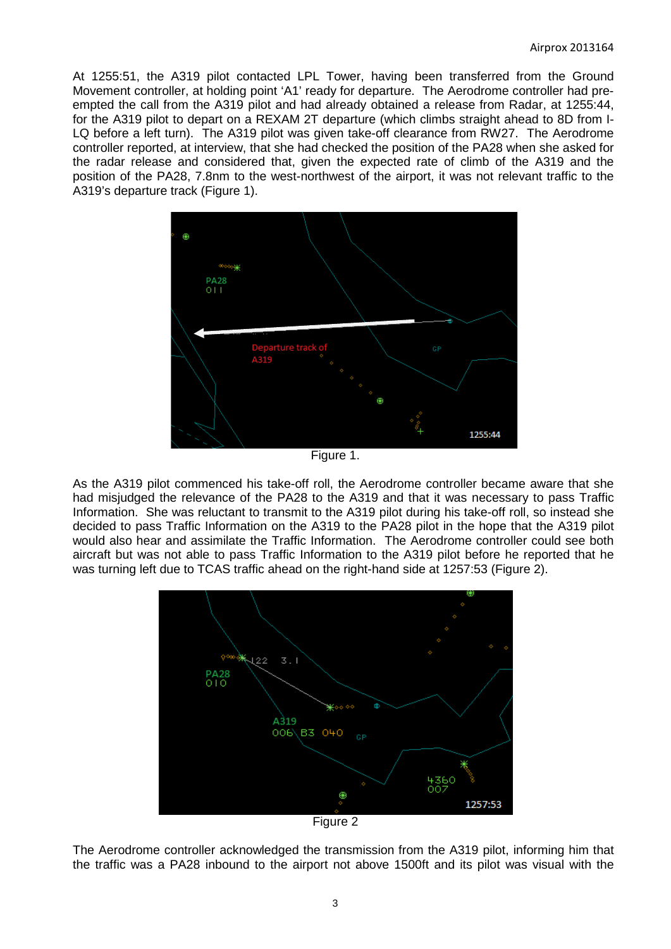At 1255:51, the A319 pilot contacted LPL Tower, having been transferred from the Ground Movement controller, at holding point 'A1' ready for departure. The Aerodrome controller had preempted the call from the A319 pilot and had already obtained a release from Radar, at 1255:44, for the A319 pilot to depart on a REXAM 2T departure (which climbs straight ahead to 8D from I-LQ before a left turn). The A319 pilot was given take-off clearance from RW27. The Aerodrome controller reported, at interview, that she had checked the position of the PA28 when she asked for the radar release and considered that, given the expected rate of climb of the A319 and the position of the PA28, 7.8nm to the west-northwest of the airport, it was not relevant traffic to the A319's departure track (Figure 1).



Figure 1.

As the A319 pilot commenced his take-off roll, the Aerodrome controller became aware that she had misjudged the relevance of the PA28 to the A319 and that it was necessary to pass Traffic Information. She was reluctant to transmit to the A319 pilot during his take-off roll, so instead she decided to pass Traffic Information on the A319 to the PA28 pilot in the hope that the A319 pilot would also hear and assimilate the Traffic Information. The Aerodrome controller could see both aircraft but was not able to pass Traffic Information to the A319 pilot before he reported that he was turning left due to TCAS traffic ahead on the right-hand side at 1257:53 (Figure 2).



Figure 2

The Aerodrome controller acknowledged the transmission from the A319 pilot, informing him that the traffic was a PA28 inbound to the airport not above 1500ft and its pilot was visual with the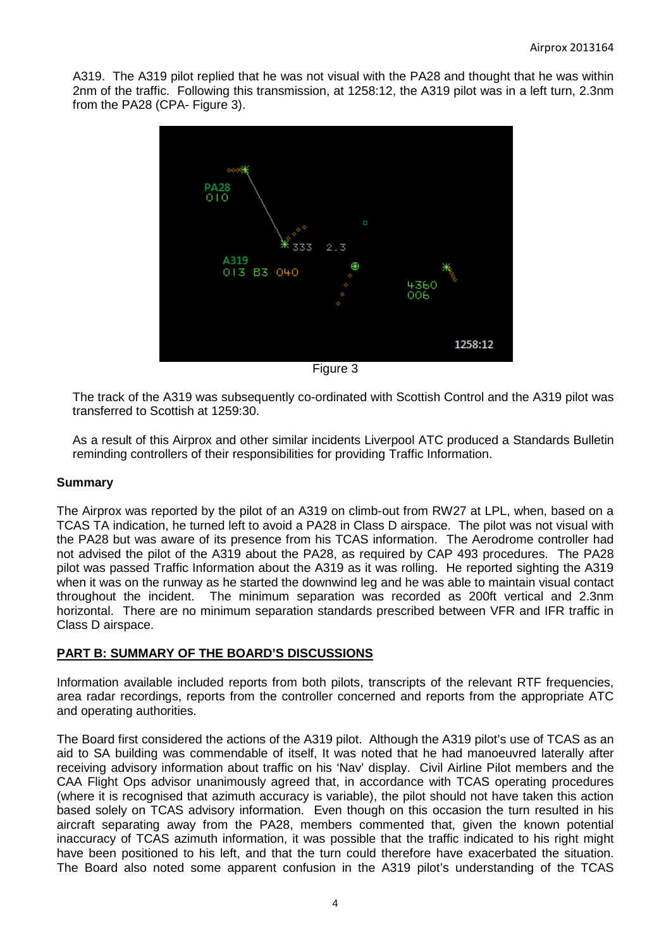A319. The A319 pilot replied that he was not visual with the PA28 and thought that he was within 2nm of the traffic. Following this transmission, at 1258:12, the A319 pilot was in a left turn, 2.3nm from the PA28 (CPA- Figure 3).



The track of the A319 was subsequently co-ordinated with Scottish Control and the A319 pilot was transferred to Scottish at 1259:30.

As a result of this Airprox and other similar incidents Liverpool ATC produced a Standards Bulletin reminding controllers of their responsibilities for providing Traffic Information.

# **Summary**

The Airprox was reported by the pilot of an A319 on climb-out from RW27 at LPL, when, based on a TCAS TA indication, he turned left to avoid a PA28 in Class D airspace. The pilot was not visual with the PA28 but was aware of its presence from his TCAS information. The Aerodrome controller had not advised the pilot of the A319 about the PA28, as required by CAP 493 procedures. The PA28 pilot was passed Traffic Information about the A319 as it was rolling. He reported sighting the A319 when it was on the runway as he started the downwind leg and he was able to maintain visual contact throughout the incident. The minimum separation was recorded as 200ft vertical and 2.3nm horizontal. There are no minimum separation standards prescribed between VFR and IFR traffic in Class D airspace.

# **PART B: SUMMARY OF THE BOARD'S DISCUSSIONS**

Information available included reports from both pilots, transcripts of the relevant RTF frequencies, area radar recordings, reports from the controller concerned and reports from the appropriate ATC and operating authorities.

The Board first considered the actions of the A319 pilot. Although the A319 pilot's use of TCAS as an aid to SA building was commendable of itself, It was noted that he had manoeuvred laterally after receiving advisory information about traffic on his 'Nav' display. Civil Airline Pilot members and the CAA Flight Ops advisor unanimously agreed that, in accordance with TCAS operating procedures (where it is recognised that azimuth accuracy is variable), the pilot should not have taken this action based solely on TCAS advisory information. Even though on this occasion the turn resulted in his aircraft separating away from the PA28, members commented that, given the known potential inaccuracy of TCAS azimuth information, it was possible that the traffic indicated to his right might have been positioned to his left, and that the turn could therefore have exacerbated the situation. The Board also noted some apparent confusion in the A319 pilot's understanding of the TCAS